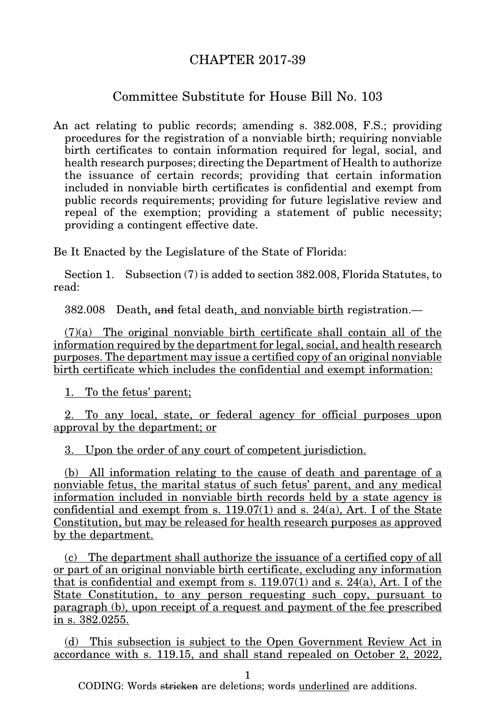## CHAPTER 2017-39

## Committee Substitute for House Bill No. 103

An act relating to public records; amending s. 382.008, F.S.; providing procedures for the registration of a nonviable birth; requiring nonviable birth certificates to contain information required for legal, social, and health research purposes; directing the Department of Health to authorize the issuance of certain records; providing that certain information included in nonviable birth certificates is confidential and exempt from public records requirements; providing for future legislative review and repeal of the exemption; providing a statement of public necessity; providing a contingent effective date.

Be It Enacted by the Legislature of the State of Florida:

Section 1. Subsection (7) is added to section 382.008, Florida Statutes, to read:

382.008 Death, and fetal death, and nonviable birth registration.—

 $(7)(a)$  The original nonviable birth certificate shall contain all of the information required by the department for legal, social, and health research purposes. The department may issue a certified copy of an original nonviable birth certificate which includes the confidential and exempt information:

1. To the fetus' parent;

2. To any local, state, or federal agency for official purposes upon approval by the department; or

3. Upon the order of any court of competent jurisdiction.

(b) All information relating to the cause of death and parentage of a nonviable fetus, the marital status of such fetus' parent, and any medical information included in nonviable birth records held by a state agency is confidential and exempt from s.  $119.07(1)$  and s.  $24(a)$ , Art. I of the State Constitution, but may be released for health research purposes as approved by the department.

(c) The department shall authorize the issuance of a certified copy of all or part of an original nonviable birth certificate, excluding any information that is confidential and exempt from s.  $119.07(1)$  and s.  $24(a)$ , Art. I of the State Constitution, to any person requesting such copy, pursuant to paragraph (b), upon receipt of a request and payment of the fee prescribed in s. 382.0255.

(d) This subsection is subject to the Open Government Review Act in accordance with s. 119.15, and shall stand repealed on October 2, 2022,

1

CODING: Words stricken are deletions; words underlined are additions.